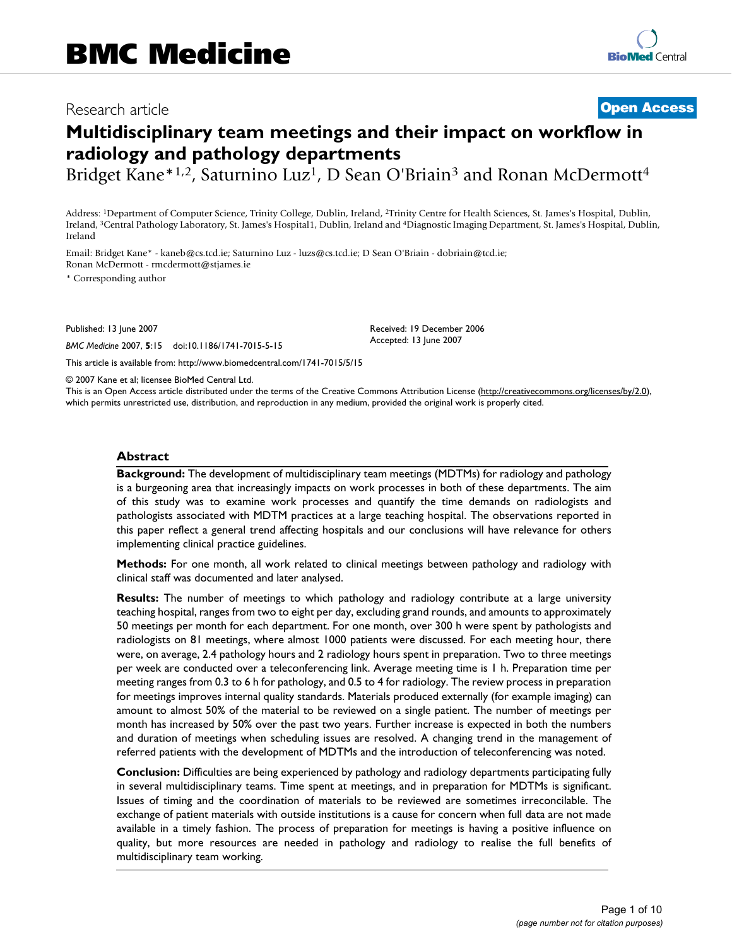## Research article **[Open Access](http://www.biomedcentral.com/info/about/charter/)**

# **Multidisciplinary team meetings and their impact on workflow in radiology and pathology departments**

Bridget Kane\*<sup>1,2</sup>, Saturnino Luz<sup>1</sup>, D Sean O'Briain<sup>3</sup> and Ronan McDermott<sup>4</sup>

Address: 1Department of Computer Science, Trinity College, Dublin, Ireland, 2Trinity Centre for Health Sciences, St. James's Hospital, Dublin, Ireland, 3Central Pathology Laboratory, St. James's Hospital1, Dublin, Ireland and 4Diagnostic Imaging Department, St. James's Hospital, Dublin, Ireland

Email: Bridget Kane\* - kaneb@cs.tcd.ie; Saturnino Luz - luzs@cs.tcd.ie; D Sean O'Briain - dobriain@tcd.ie; Ronan McDermott - rmcdermott@stjames.ie

\* Corresponding author

Published: 13 June 2007

*BMC Medicine* 2007, **5**:15 doi:10.1186/1741-7015-5-15

[This article is available from: http://www.biomedcentral.com/1741-7015/5/15](http://www.biomedcentral.com/1741-7015/5/15)

© 2007 Kane et al; licensee BioMed Central Ltd.

This is an Open Access article distributed under the terms of the Creative Commons Attribution License [\(http://creativecommons.org/licenses/by/2.0\)](http://creativecommons.org/licenses/by/2.0), which permits unrestricted use, distribution, and reproduction in any medium, provided the original work is properly cited.

Received: 19 December 2006 Accepted: 13 June 2007

#### **Abstract**

**Background:** The development of multidisciplinary team meetings (MDTMs) for radiology and pathology is a burgeoning area that increasingly impacts on work processes in both of these departments. The aim of this study was to examine work processes and quantify the time demands on radiologists and pathologists associated with MDTM practices at a large teaching hospital. The observations reported in this paper reflect a general trend affecting hospitals and our conclusions will have relevance for others implementing clinical practice guidelines.

**Methods:** For one month, all work related to clinical meetings between pathology and radiology with clinical staff was documented and later analysed.

**Results:** The number of meetings to which pathology and radiology contribute at a large university teaching hospital, ranges from two to eight per day, excluding grand rounds, and amounts to approximately 50 meetings per month for each department. For one month, over 300 h were spent by pathologists and radiologists on 81 meetings, where almost 1000 patients were discussed. For each meeting hour, there were, on average, 2.4 pathology hours and 2 radiology hours spent in preparation. Two to three meetings per week are conducted over a teleconferencing link. Average meeting time is 1 h. Preparation time per meeting ranges from 0.3 to 6 h for pathology, and 0.5 to 4 for radiology. The review process in preparation for meetings improves internal quality standards. Materials produced externally (for example imaging) can amount to almost 50% of the material to be reviewed on a single patient. The number of meetings per month has increased by 50% over the past two years. Further increase is expected in both the numbers and duration of meetings when scheduling issues are resolved. A changing trend in the management of referred patients with the development of MDTMs and the introduction of teleconferencing was noted.

**Conclusion:** Difficulties are being experienced by pathology and radiology departments participating fully in several multidisciplinary teams. Time spent at meetings, and in preparation for MDTMs is significant. Issues of timing and the coordination of materials to be reviewed are sometimes irreconcilable. The exchange of patient materials with outside institutions is a cause for concern when full data are not made available in a timely fashion. The process of preparation for meetings is having a positive influence on quality, but more resources are needed in pathology and radiology to realise the full benefits of multidisciplinary team working.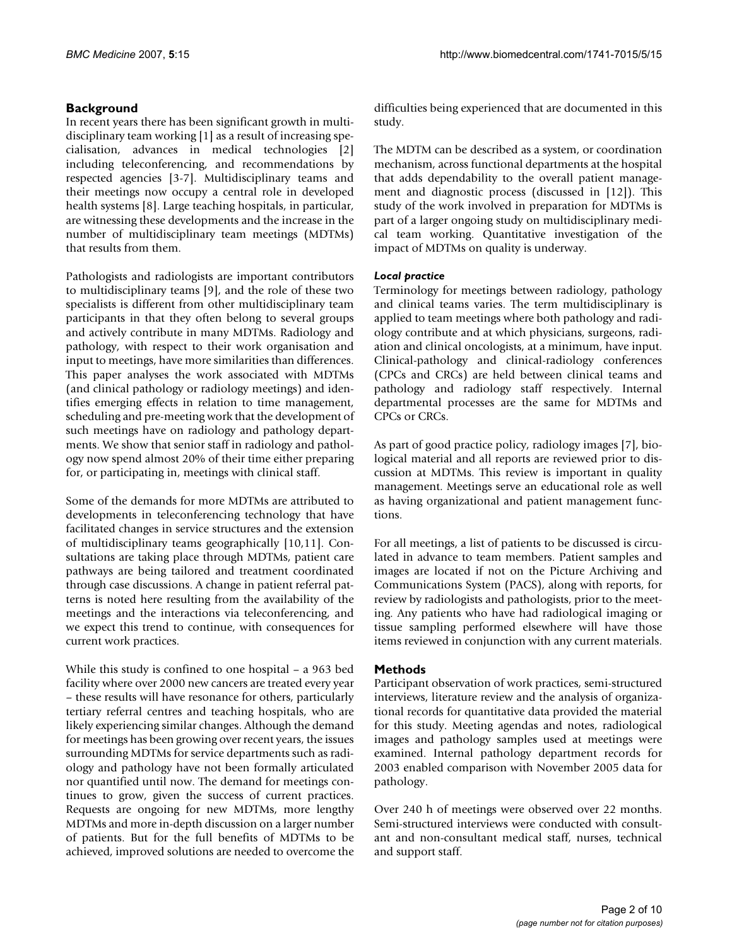### **Background**

In recent years there has been significant growth in multidisciplinary team working [1] as a result of increasing specialisation, advances in medical technologies [2] including teleconferencing, and recommendations by respected agencies [3-7]. Multidisciplinary teams and their meetings now occupy a central role in developed health systems [8]. Large teaching hospitals, in particular, are witnessing these developments and the increase in the number of multidisciplinary team meetings (MDTMs) that results from them.

Pathologists and radiologists are important contributors to multidisciplinary teams [9], and the role of these two specialists is different from other multidisciplinary team participants in that they often belong to several groups and actively contribute in many MDTMs. Radiology and pathology, with respect to their work organisation and input to meetings, have more similarities than differences. This paper analyses the work associated with MDTMs (and clinical pathology or radiology meetings) and identifies emerging effects in relation to time management, scheduling and pre-meeting work that the development of such meetings have on radiology and pathology departments. We show that senior staff in radiology and pathology now spend almost 20% of their time either preparing for, or participating in, meetings with clinical staff.

Some of the demands for more MDTMs are attributed to developments in teleconferencing technology that have facilitated changes in service structures and the extension of multidisciplinary teams geographically [10,11]. Consultations are taking place through MDTMs, patient care pathways are being tailored and treatment coordinated through case discussions. A change in patient referral patterns is noted here resulting from the availability of the meetings and the interactions via teleconferencing, and we expect this trend to continue, with consequences for current work practices.

While this study is confined to one hospital – a 963 bed facility where over 2000 new cancers are treated every year – these results will have resonance for others, particularly tertiary referral centres and teaching hospitals, who are likely experiencing similar changes. Although the demand for meetings has been growing over recent years, the issues surrounding MDTMs for service departments such as radiology and pathology have not been formally articulated nor quantified until now. The demand for meetings continues to grow, given the success of current practices. Requests are ongoing for new MDTMs, more lengthy MDTMs and more in-depth discussion on a larger number of patients. But for the full benefits of MDTMs to be achieved, improved solutions are needed to overcome the difficulties being experienced that are documented in this study.

The MDTM can be described as a system, or coordination mechanism, across functional departments at the hospital that adds dependability to the overall patient management and diagnostic process (discussed in [12]). This study of the work involved in preparation for MDTMs is part of a larger ongoing study on multidisciplinary medical team working. Quantitative investigation of the impact of MDTMs on quality is underway.

#### *Local practice*

Terminology for meetings between radiology, pathology and clinical teams varies. The term multidisciplinary is applied to team meetings where both pathology and radiology contribute and at which physicians, surgeons, radiation and clinical oncologists, at a minimum, have input. Clinical-pathology and clinical-radiology conferences (CPCs and CRCs) are held between clinical teams and pathology and radiology staff respectively. Internal departmental processes are the same for MDTMs and CPCs or CRCs.

As part of good practice policy, radiology images [7], biological material and all reports are reviewed prior to discussion at MDTMs. This review is important in quality management. Meetings serve an educational role as well as having organizational and patient management functions.

For all meetings, a list of patients to be discussed is circulated in advance to team members. Patient samples and images are located if not on the Picture Archiving and Communications System (PACS), along with reports, for review by radiologists and pathologists, prior to the meeting. Any patients who have had radiological imaging or tissue sampling performed elsewhere will have those items reviewed in conjunction with any current materials.

#### **Methods**

Participant observation of work practices, semi-structured interviews, literature review and the analysis of organizational records for quantitative data provided the material for this study. Meeting agendas and notes, radiological images and pathology samples used at meetings were examined. Internal pathology department records for 2003 enabled comparison with November 2005 data for pathology.

Over 240 h of meetings were observed over 22 months. Semi-structured interviews were conducted with consultant and non-consultant medical staff, nurses, technical and support staff.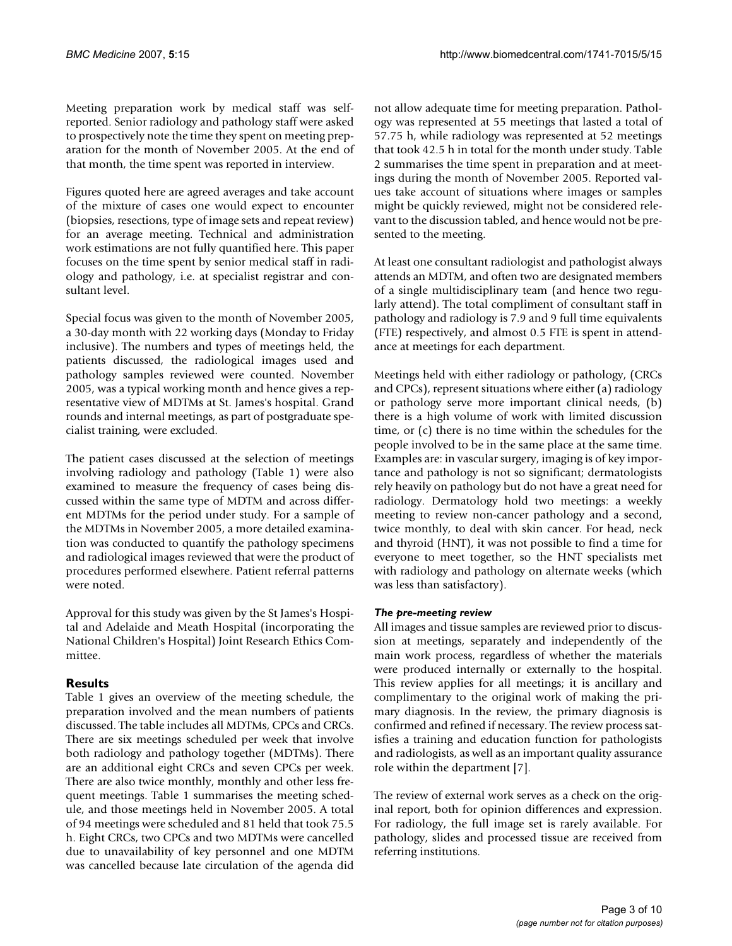Meeting preparation work by medical staff was selfreported. Senior radiology and pathology staff were asked to prospectively note the time they spent on meeting preparation for the month of November 2005. At the end of that month, the time spent was reported in interview.

Figures quoted here are agreed averages and take account of the mixture of cases one would expect to encounter (biopsies, resections, type of image sets and repeat review) for an average meeting. Technical and administration work estimations are not fully quantified here. This paper focuses on the time spent by senior medical staff in radiology and pathology, i.e. at specialist registrar and consultant level.

Special focus was given to the month of November 2005, a 30-day month with 22 working days (Monday to Friday inclusive). The numbers and types of meetings held, the patients discussed, the radiological images used and pathology samples reviewed were counted. November 2005, was a typical working month and hence gives a representative view of MDTMs at St. James's hospital. Grand rounds and internal meetings, as part of postgraduate specialist training, were excluded.

The patient cases discussed at the selection of meetings involving radiology and pathology (Table 1) were also examined to measure the frequency of cases being discussed within the same type of MDTM and across different MDTMs for the period under study. For a sample of the MDTMs in November 2005, a more detailed examination was conducted to quantify the pathology specimens and radiological images reviewed that were the product of procedures performed elsewhere. Patient referral patterns were noted.

Approval for this study was given by the St James's Hospital and Adelaide and Meath Hospital (incorporating the National Children's Hospital) Joint Research Ethics Committee.

### **Results**

Table 1 gives an overview of the meeting schedule, the preparation involved and the mean numbers of patients discussed. The table includes all MDTMs, CPCs and CRCs. There are six meetings scheduled per week that involve both radiology and pathology together (MDTMs). There are an additional eight CRCs and seven CPCs per week. There are also twice monthly, monthly and other less frequent meetings. Table 1 summarises the meeting schedule, and those meetings held in November 2005. A total of 94 meetings were scheduled and 81 held that took 75.5 h. Eight CRCs, two CPCs and two MDTMs were cancelled due to unavailability of key personnel and one MDTM was cancelled because late circulation of the agenda did

not allow adequate time for meeting preparation. Pathology was represented at 55 meetings that lasted a total of 57.75 h, while radiology was represented at 52 meetings that took 42.5 h in total for the month under study. Table 2 summarises the time spent in preparation and at meetings during the month of November 2005. Reported values take account of situations where images or samples might be quickly reviewed, might not be considered relevant to the discussion tabled, and hence would not be presented to the meeting.

At least one consultant radiologist and pathologist always attends an MDTM, and often two are designated members of a single multidisciplinary team (and hence two regularly attend). The total compliment of consultant staff in pathology and radiology is 7.9 and 9 full time equivalents (FTE) respectively, and almost 0.5 FTE is spent in attendance at meetings for each department.

Meetings held with either radiology or pathology, (CRCs and CPCs), represent situations where either (a) radiology or pathology serve more important clinical needs, (b) there is a high volume of work with limited discussion time, or (c) there is no time within the schedules for the people involved to be in the same place at the same time. Examples are: in vascular surgery, imaging is of key importance and pathology is not so significant; dermatologists rely heavily on pathology but do not have a great need for radiology. Dermatology hold two meetings: a weekly meeting to review non-cancer pathology and a second, twice monthly, to deal with skin cancer. For head, neck and thyroid (HNT), it was not possible to find a time for everyone to meet together, so the HNT specialists met with radiology and pathology on alternate weeks (which was less than satisfactory).

#### *The pre-meeting review*

All images and tissue samples are reviewed prior to discussion at meetings, separately and independently of the main work process, regardless of whether the materials were produced internally or externally to the hospital. This review applies for all meetings; it is ancillary and complimentary to the original work of making the primary diagnosis. In the review, the primary diagnosis is confirmed and refined if necessary. The review process satisfies a training and education function for pathologists and radiologists, as well as an important quality assurance role within the department [7].

The review of external work serves as a check on the original report, both for opinion differences and expression. For radiology, the full image set is rarely available. For pathology, slides and processed tissue are received from referring institutions.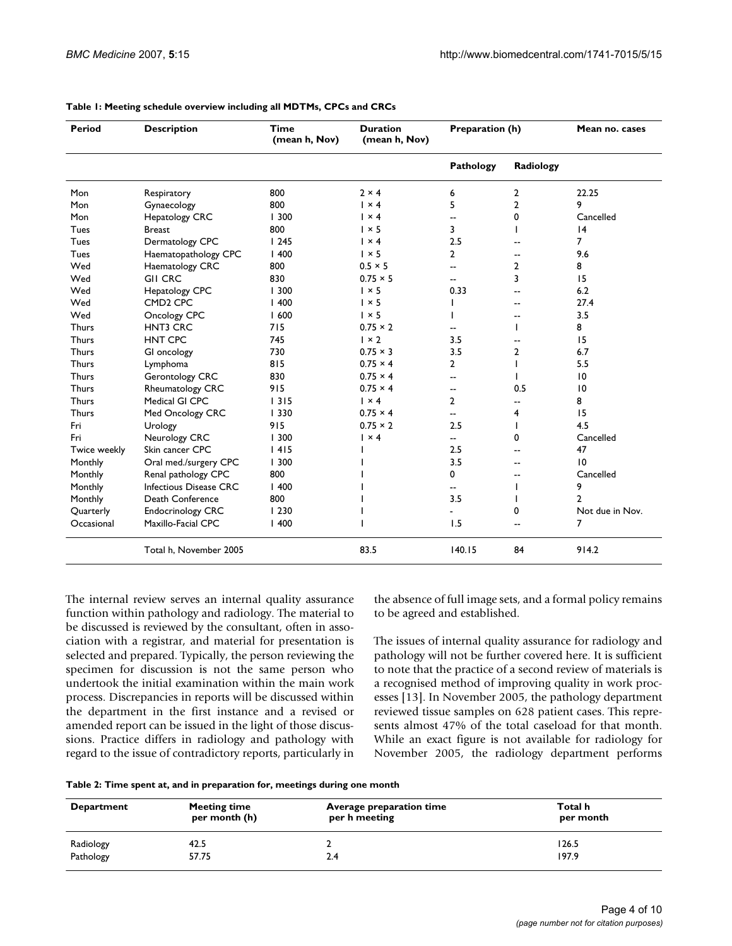| Period       | <b>Description</b>       | Time<br>(mean h, Nov) | <b>Duration</b><br>(mean h, Nov) | Preparation (h) |                | Mean no. cases  |
|--------------|--------------------------|-----------------------|----------------------------------|-----------------|----------------|-----------------|
|              |                          |                       |                                  | Pathology       | Radiology      |                 |
| Mon          | Respiratory              | 800                   | $2 \times 4$                     | 6               | $\overline{2}$ | 22.25           |
| Mon          | Gynaecology              | 800                   | $\vert \times 4$                 | 5               | $\overline{a}$ | 9               |
| Mon          | <b>Hepatology CRC</b>    | 1300                  | $1 \times 4$                     | --              | 0              | Cancelled       |
| Tues         | <b>Breast</b>            | 800                   | $1 \times 5$                     | 3               | T              | 4               |
| Tues         | Dermatology CPC          | 1245                  | $\vert$ × 4                      | 2.5             | --             | $\overline{7}$  |
| Tues         | Haematopathology CPC     | 1400                  | $1 \times 5$                     | $\overline{2}$  | $\overline{a}$ | 9.6             |
| Wed          | Haematology CRC          | 800                   | $0.5 \times 5$                   | Ξ.              | $\overline{2}$ | 8               |
| Wed          | <b>GII CRC</b>           | 830                   | $0.75 \times 5$                  | Ξ.              | 3              | 15              |
| Wed          | Hepatology CPC           | 300                   | $1 \times 5$                     | 0.33            | --             | 6.2             |
| Wed          | CMD <sub>2</sub> CPC     | 1400                  | $1 \times 5$                     | ı               | --             | 27.4            |
| Wed          | Oncology CPC             | 1600                  | $1 \times 5$                     | T               | --             | 3.5             |
| <b>Thurs</b> | HNT3 CRC                 | 715                   | $0.75 \times 2$                  | --              | T              | 8               |
| <b>Thurs</b> | HNT CPC                  | 745                   | $1 \times 2$                     | 3.5             | --             | 15              |
| <b>Thurs</b> | GI oncology              | 730                   | $0.75 \times 3$                  | 3.5             | $\overline{2}$ | 6.7             |
| <b>Thurs</b> | Lymphoma                 | 815                   | $0.75 \times 4$                  | $\overline{2}$  | ı              | 5.5             |
| Thurs        | Gerontology CRC          | 830                   | $0.75 \times 4$                  | $\overline{a}$  |                | $\overline{0}$  |
| <b>Thurs</b> | <b>Rheumatology CRC</b>  | 915                   | $0.75 \times 4$                  | --              | 0.5            | $\overline{10}$ |
| Thurs        | Medical GI CPC           | 1315                  | $1 \times 4$                     | $\overline{2}$  | --             | 8               |
| <b>Thurs</b> | Med Oncology CRC         | 330                   | $0.75 \times 4$                  | --              | 4              | 15              |
| Fri          | Urology                  | 915                   | $0.75 \times 2$                  | 2.5             | T              | 4.5             |
| Fri          | Neurology CRC            | 300                   | $1 \times 4$                     | --              | 0              | Cancelled       |
| Twice weekly | Skin cancer CPC          | 1415                  |                                  | 2.5             |                | 47              |
| Monthly      | Oral med./surgery CPC    | 300                   |                                  | 3.5             | $\overline{a}$ | 10              |
| Monthly      | Renal pathology CPC      | 800                   |                                  | 0               | $\sim$         | Cancelled       |
| Monthly      | Infectious Disease CRC   | 1400                  |                                  | --              | ı              | 9               |
| Monthly      | Death Conference         | 800                   |                                  | 3.5             | ı              | $\mathfrak{p}$  |
| Quarterly    | <b>Endocrinology CRC</b> | 1230                  |                                  |                 | 0              | Not due in Nov. |
| Occasional   | Maxillo-Facial CPC       | 1400                  |                                  | 1.5             | $\overline{a}$ | 7               |
|              | Total h, November 2005   |                       | 83.5                             | 140.15          | 84             | 914.2           |

#### **Table 1: Meeting schedule overview including all MDTMs, CPCs and CRCs**

The internal review serves an internal quality assurance function within pathology and radiology. The material to be discussed is reviewed by the consultant, often in association with a registrar, and material for presentation is selected and prepared. Typically, the person reviewing the specimen for discussion is not the same person who undertook the initial examination within the main work process. Discrepancies in reports will be discussed within the department in the first instance and a revised or amended report can be issued in the light of those discussions. Practice differs in radiology and pathology with regard to the issue of contradictory reports, particularly in the absence of full image sets, and a formal policy remains to be agreed and established.

The issues of internal quality assurance for radiology and pathology will not be further covered here. It is sufficient to note that the practice of a second review of materials is a recognised method of improving quality in work processes [13]. In November 2005, the pathology department reviewed tissue samples on 628 patient cases. This represents almost 47% of the total caseload for that month. While an exact figure is not available for radiology for November 2005, the radiology department performs

| <b>Department</b> | <b>Meeting time</b> | Average preparation time | Total h   |
|-------------------|---------------------|--------------------------|-----------|
|                   | per month (h)       | per h meeting            | per month |
| Radiology         | 42.5                | 2.4                      | 126.5     |
| Pathology         | 57.75               |                          | 197.9     |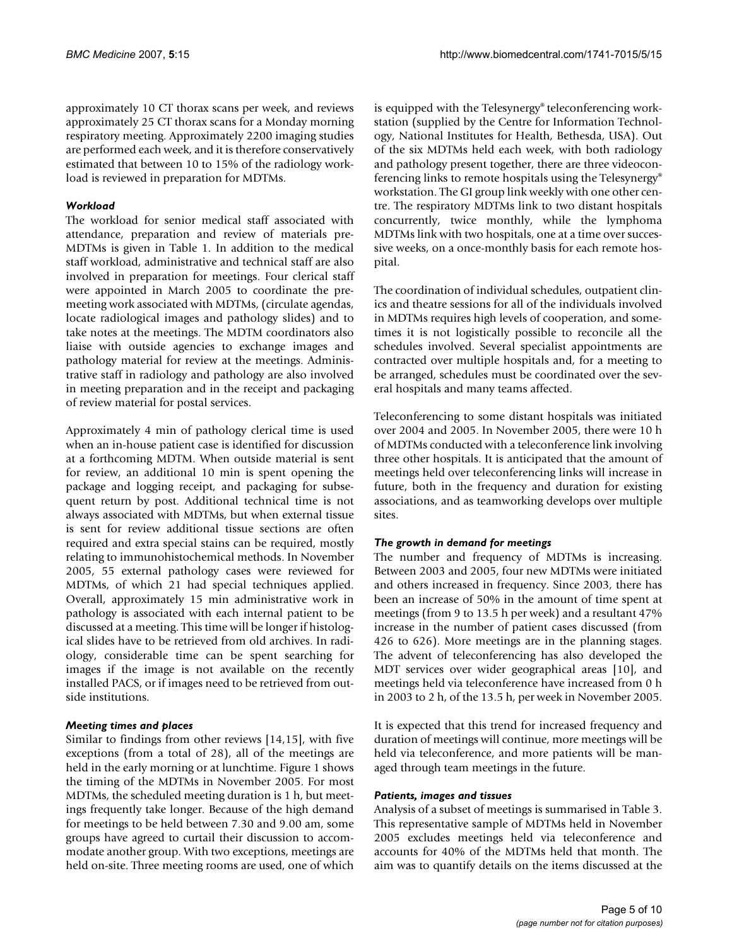approximately 10 CT thorax scans per week, and reviews approximately 25 CT thorax scans for a Monday morning respiratory meeting. Approximately 2200 imaging studies are performed each week, and it is therefore conservatively estimated that between 10 to 15% of the radiology workload is reviewed in preparation for MDTMs.

#### *Workload*

The workload for senior medical staff associated with attendance, preparation and review of materials pre-MDTMs is given in Table 1. In addition to the medical staff workload, administrative and technical staff are also involved in preparation for meetings. Four clerical staff were appointed in March 2005 to coordinate the premeeting work associated with MDTMs, (circulate agendas, locate radiological images and pathology slides) and to take notes at the meetings. The MDTM coordinators also liaise with outside agencies to exchange images and pathology material for review at the meetings. Administrative staff in radiology and pathology are also involved in meeting preparation and in the receipt and packaging of review material for postal services.

Approximately 4 min of pathology clerical time is used when an in-house patient case is identified for discussion at a forthcoming MDTM. When outside material is sent for review, an additional 10 min is spent opening the package and logging receipt, and packaging for subsequent return by post. Additional technical time is not always associated with MDTMs, but when external tissue is sent for review additional tissue sections are often required and extra special stains can be required, mostly relating to immunohistochemical methods. In November 2005, 55 external pathology cases were reviewed for MDTMs, of which 21 had special techniques applied. Overall, approximately 15 min administrative work in pathology is associated with each internal patient to be discussed at a meeting. This time will be longer if histological slides have to be retrieved from old archives. In radiology, considerable time can be spent searching for images if the image is not available on the recently installed PACS, or if images need to be retrieved from outside institutions.

#### *Meeting times and places*

Similar to findings from other reviews [14,15], with five exceptions (from a total of 28), all of the meetings are held in the early morning or at lunchtime. Figure 1 shows the timing of the MDTMs in November 2005. For most MDTMs, the scheduled meeting duration is 1 h, but meetings frequently take longer. Because of the high demand for meetings to be held between 7.30 and 9.00 am, some groups have agreed to curtail their discussion to accommodate another group. With two exceptions, meetings are held on-site. Three meeting rooms are used, one of which

is equipped with the Telesynergy® teleconferencing workstation (supplied by the Centre for Information Technology, National Institutes for Health, Bethesda, USA). Out of the six MDTMs held each week, with both radiology and pathology present together, there are three videoconferencing links to remote hospitals using the Telesynergy® workstation. The GI group link weekly with one other centre. The respiratory MDTMs link to two distant hospitals concurrently, twice monthly, while the lymphoma MDTMs link with two hospitals, one at a time over successive weeks, on a once-monthly basis for each remote hospital.

The coordination of individual schedules, outpatient clinics and theatre sessions for all of the individuals involved in MDTMs requires high levels of cooperation, and sometimes it is not logistically possible to reconcile all the schedules involved. Several specialist appointments are contracted over multiple hospitals and, for a meeting to be arranged, schedules must be coordinated over the several hospitals and many teams affected.

Teleconferencing to some distant hospitals was initiated over 2004 and 2005. In November 2005, there were 10 h of MDTMs conducted with a teleconference link involving three other hospitals. It is anticipated that the amount of meetings held over teleconferencing links will increase in future, both in the frequency and duration for existing associations, and as teamworking develops over multiple sites.

#### *The growth in demand for meetings*

The number and frequency of MDTMs is increasing. Between 2003 and 2005, four new MDTMs were initiated and others increased in frequency. Since 2003, there has been an increase of 50% in the amount of time spent at meetings (from 9 to 13.5 h per week) and a resultant 47% increase in the number of patient cases discussed (from 426 to 626). More meetings are in the planning stages. The advent of teleconferencing has also developed the MDT services over wider geographical areas [10], and meetings held via teleconference have increased from 0 h in 2003 to 2 h, of the 13.5 h, per week in November 2005.

It is expected that this trend for increased frequency and duration of meetings will continue, more meetings will be held via teleconference, and more patients will be managed through team meetings in the future.

#### *Patients, images and tissues*

Analysis of a subset of meetings is summarised in Table 3. This representative sample of MDTMs held in November 2005 excludes meetings held via teleconference and accounts for 40% of the MDTMs held that month. The aim was to quantify details on the items discussed at the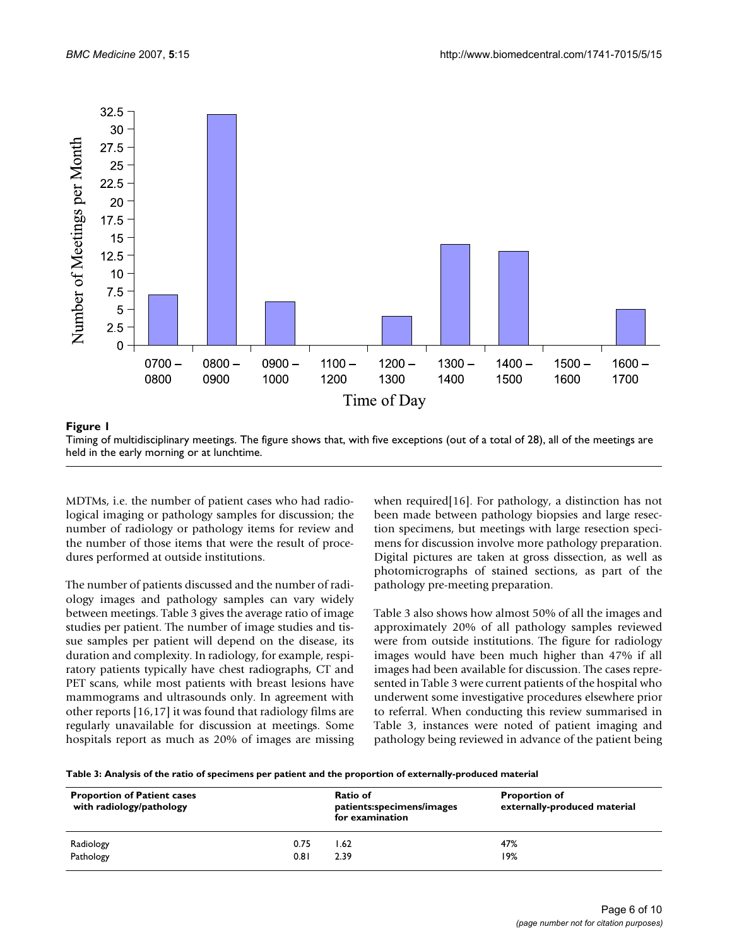

#### **Figure 1**

Timing of multidisciplinary meetings. The figure shows that, with five exceptions (out of a total of 28), all of the meetings are held in the early morning or at lunchtime.

MDTMs, i.e. the number of patient cases who had radiological imaging or pathology samples for discussion; the number of radiology or pathology items for review and the number of those items that were the result of procedures performed at outside institutions.

The number of patients discussed and the number of radiology images and pathology samples can vary widely between meetings. Table 3 gives the average ratio of image studies per patient. The number of image studies and tissue samples per patient will depend on the disease, its duration and complexity. In radiology, for example, respiratory patients typically have chest radiographs, CT and PET scans, while most patients with breast lesions have mammograms and ultrasounds only. In agreement with other reports [16,17] it was found that radiology films are regularly unavailable for discussion at meetings. Some hospitals report as much as 20% of images are missing when required[16]. For pathology, a distinction has not been made between pathology biopsies and large resection specimens, but meetings with large resection specimens for discussion involve more pathology preparation. Digital pictures are taken at gross dissection, as well as photomicrographs of stained sections, as part of the pathology pre-meeting preparation.

Table 3 also shows how almost 50% of all the images and approximately 20% of all pathology samples reviewed were from outside institutions. The figure for radiology images would have been much higher than 47% if all images had been available for discussion. The cases represented in Table 3 were current patients of the hospital who underwent some investigative procedures elsewhere prior to referral. When conducting this review summarised in Table 3, instances were noted of patient imaging and pathology being reviewed in advance of the patient being

**Table 3: Analysis of the ratio of specimens per patient and the proportion of externally-produced material**

| <b>Proportion of Patient cases</b><br>with radiology/pathology |      | Ratio of<br>patients:specimens/images<br>for examination | <b>Proportion of</b><br>externally-produced material |  |
|----------------------------------------------------------------|------|----------------------------------------------------------|------------------------------------------------------|--|
| Radiology                                                      | 0.75 | 1.62                                                     | 47%                                                  |  |
| Pathology                                                      | 0.81 | 2.39                                                     | 19%                                                  |  |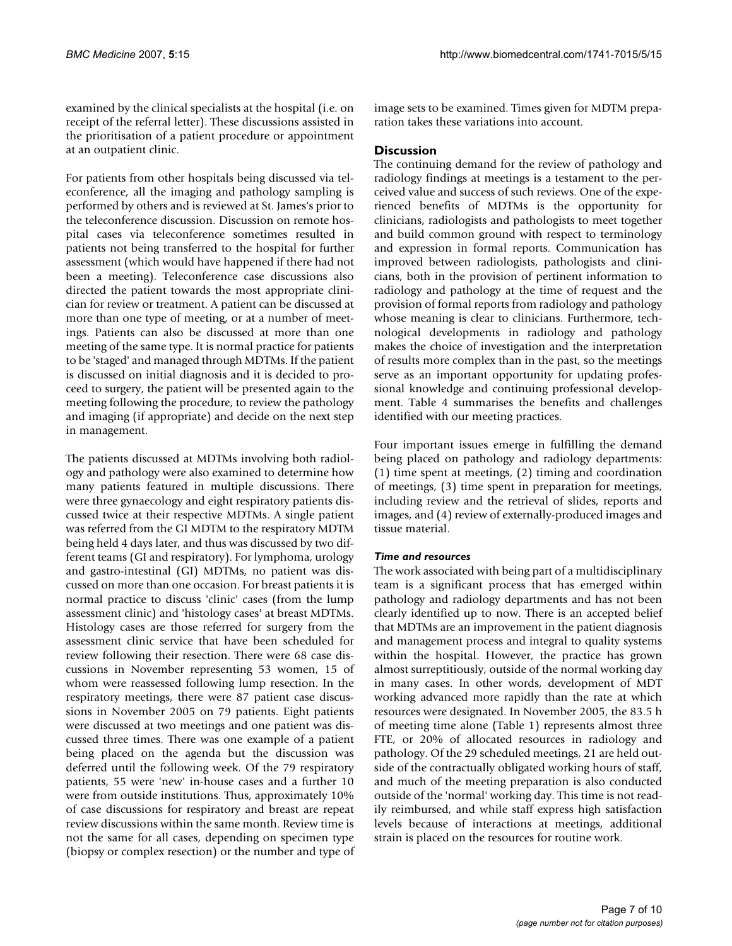examined by the clinical specialists at the hospital (i.e. on receipt of the referral letter). These discussions assisted in the prioritisation of a patient procedure or appointment at an outpatient clinic.

For patients from other hospitals being discussed via teleconference, all the imaging and pathology sampling is performed by others and is reviewed at St. James's prior to the teleconference discussion. Discussion on remote hospital cases via teleconference sometimes resulted in patients not being transferred to the hospital for further assessment (which would have happened if there had not been a meeting). Teleconference case discussions also directed the patient towards the most appropriate clinician for review or treatment. A patient can be discussed at more than one type of meeting, or at a number of meetings. Patients can also be discussed at more than one meeting of the same type. It is normal practice for patients to be 'staged' and managed through MDTMs. If the patient is discussed on initial diagnosis and it is decided to proceed to surgery, the patient will be presented again to the meeting following the procedure, to review the pathology and imaging (if appropriate) and decide on the next step in management.

The patients discussed at MDTMs involving both radiology and pathology were also examined to determine how many patients featured in multiple discussions. There were three gynaecology and eight respiratory patients discussed twice at their respective MDTMs. A single patient was referred from the GI MDTM to the respiratory MDTM being held 4 days later, and thus was discussed by two different teams (GI and respiratory). For lymphoma, urology and gastro-intestinal (GI) MDTMs, no patient was discussed on more than one occasion. For breast patients it is normal practice to discuss 'clinic' cases (from the lump assessment clinic) and 'histology cases' at breast MDTMs. Histology cases are those referred for surgery from the assessment clinic service that have been scheduled for review following their resection. There were 68 case discussions in November representing 53 women, 15 of whom were reassessed following lump resection. In the respiratory meetings, there were 87 patient case discussions in November 2005 on 79 patients. Eight patients were discussed at two meetings and one patient was discussed three times. There was one example of a patient being placed on the agenda but the discussion was deferred until the following week. Of the 79 respiratory patients, 55 were 'new' in-house cases and a further 10 were from outside institutions. Thus, approximately 10% of case discussions for respiratory and breast are repeat review discussions within the same month. Review time is not the same for all cases, depending on specimen type (biopsy or complex resection) or the number and type of image sets to be examined. Times given for MDTM preparation takes these variations into account.

#### **Discussion**

The continuing demand for the review of pathology and radiology findings at meetings is a testament to the perceived value and success of such reviews. One of the experienced benefits of MDTMs is the opportunity for clinicians, radiologists and pathologists to meet together and build common ground with respect to terminology and expression in formal reports. Communication has improved between radiologists, pathologists and clinicians, both in the provision of pertinent information to radiology and pathology at the time of request and the provision of formal reports from radiology and pathology whose meaning is clear to clinicians. Furthermore, technological developments in radiology and pathology makes the choice of investigation and the interpretation of results more complex than in the past, so the meetings serve as an important opportunity for updating professional knowledge and continuing professional development. Table 4 summarises the benefits and challenges identified with our meeting practices.

Four important issues emerge in fulfilling the demand being placed on pathology and radiology departments: (1) time spent at meetings, (2) timing and coordination of meetings, (3) time spent in preparation for meetings, including review and the retrieval of slides, reports and images, and (4) review of externally-produced images and tissue material.

#### *Time and resources*

The work associated with being part of a multidisciplinary team is a significant process that has emerged within pathology and radiology departments and has not been clearly identified up to now. There is an accepted belief that MDTMs are an improvement in the patient diagnosis and management process and integral to quality systems within the hospital. However, the practice has grown almost surreptitiously, outside of the normal working day in many cases. In other words, development of MDT working advanced more rapidly than the rate at which resources were designated. In November 2005, the 83.5 h of meeting time alone (Table 1) represents almost three FTE, or 20% of allocated resources in radiology and pathology. Of the 29 scheduled meetings, 21 are held outside of the contractually obligated working hours of staff, and much of the meeting preparation is also conducted outside of the 'normal' working day. This time is not readily reimbursed, and while staff express high satisfaction levels because of interactions at meetings, additional strain is placed on the resources for routine work.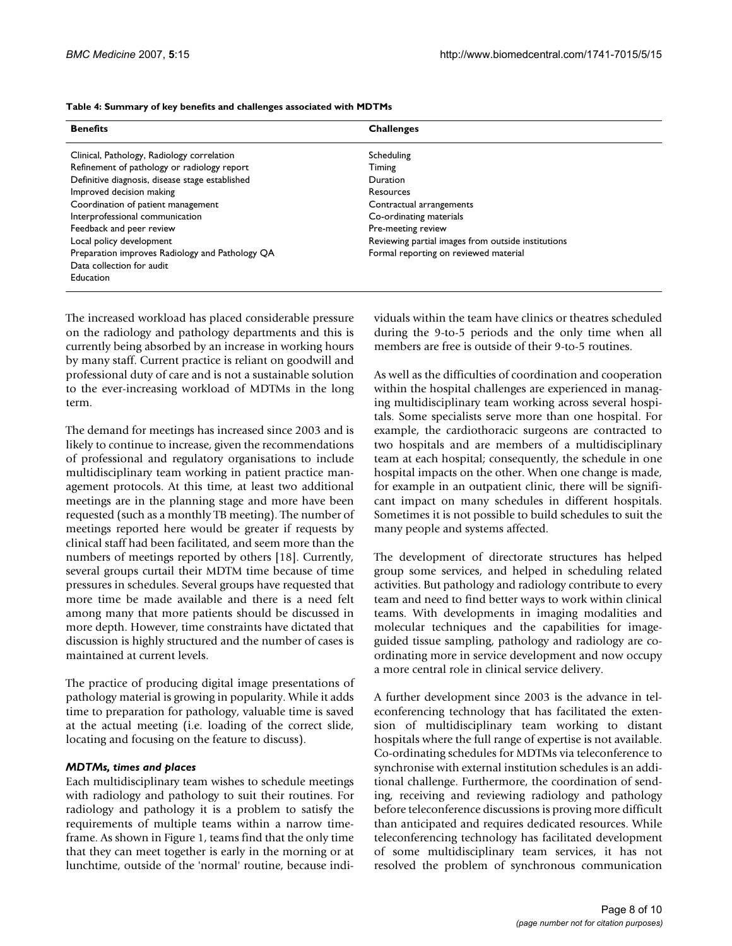| <b>Benefits</b>                                 | <b>Challenges</b>                                  |  |  |
|-------------------------------------------------|----------------------------------------------------|--|--|
| Clinical, Pathology, Radiology correlation      | Scheduling                                         |  |  |
| Refinement of pathology or radiology report     | Timing                                             |  |  |
| Definitive diagnosis, disease stage established | Duration                                           |  |  |
| Improved decision making                        | Resources                                          |  |  |
| Coordination of patient management              | Contractual arrangements                           |  |  |
| Interprofessional communication                 | Co-ordinating materials                            |  |  |
| Feedback and peer review                        | Pre-meeting review                                 |  |  |
| Local policy development                        | Reviewing partial images from outside institutions |  |  |
| Preparation improves Radiology and Pathology QA | Formal reporting on reviewed material              |  |  |
| Data collection for audit                       |                                                    |  |  |
| Education                                       |                                                    |  |  |
|                                                 |                                                    |  |  |

**Table 4: Summary of key benefits and challenges associated with MDTMs**

The increased workload has placed considerable pressure on the radiology and pathology departments and this is currently being absorbed by an increase in working hours by many staff. Current practice is reliant on goodwill and professional duty of care and is not a sustainable solution to the ever-increasing workload of MDTMs in the long term.

The demand for meetings has increased since 2003 and is likely to continue to increase, given the recommendations of professional and regulatory organisations to include multidisciplinary team working in patient practice management protocols. At this time, at least two additional meetings are in the planning stage and more have been requested (such as a monthly TB meeting). The number of meetings reported here would be greater if requests by clinical staff had been facilitated, and seem more than the numbers of meetings reported by others [18]. Currently, several groups curtail their MDTM time because of time pressures in schedules. Several groups have requested that more time be made available and there is a need felt among many that more patients should be discussed in more depth. However, time constraints have dictated that discussion is highly structured and the number of cases is maintained at current levels.

The practice of producing digital image presentations of pathology material is growing in popularity. While it adds time to preparation for pathology, valuable time is saved at the actual meeting (i.e. loading of the correct slide, locating and focusing on the feature to discuss).

#### *MDTMs, times and places*

Each multidisciplinary team wishes to schedule meetings with radiology and pathology to suit their routines. For radiology and pathology it is a problem to satisfy the requirements of multiple teams within a narrow timeframe. As shown in Figure 1, teams find that the only time that they can meet together is early in the morning or at lunchtime, outside of the 'normal' routine, because individuals within the team have clinics or theatres scheduled during the 9-to-5 periods and the only time when all members are free is outside of their 9-to-5 routines.

As well as the difficulties of coordination and cooperation within the hospital challenges are experienced in managing multidisciplinary team working across several hospitals. Some specialists serve more than one hospital. For example, the cardiothoracic surgeons are contracted to two hospitals and are members of a multidisciplinary team at each hospital; consequently, the schedule in one hospital impacts on the other. When one change is made, for example in an outpatient clinic, there will be significant impact on many schedules in different hospitals. Sometimes it is not possible to build schedules to suit the many people and systems affected.

The development of directorate structures has helped group some services, and helped in scheduling related activities. But pathology and radiology contribute to every team and need to find better ways to work within clinical teams. With developments in imaging modalities and molecular techniques and the capabilities for imageguided tissue sampling, pathology and radiology are coordinating more in service development and now occupy a more central role in clinical service delivery.

A further development since 2003 is the advance in teleconferencing technology that has facilitated the extension of multidisciplinary team working to distant hospitals where the full range of expertise is not available. Co-ordinating schedules for MDTMs via teleconference to synchronise with external institution schedules is an additional challenge. Furthermore, the coordination of sending, receiving and reviewing radiology and pathology before teleconference discussions is proving more difficult than anticipated and requires dedicated resources. While teleconferencing technology has facilitated development of some multidisciplinary team services, it has not resolved the problem of synchronous communication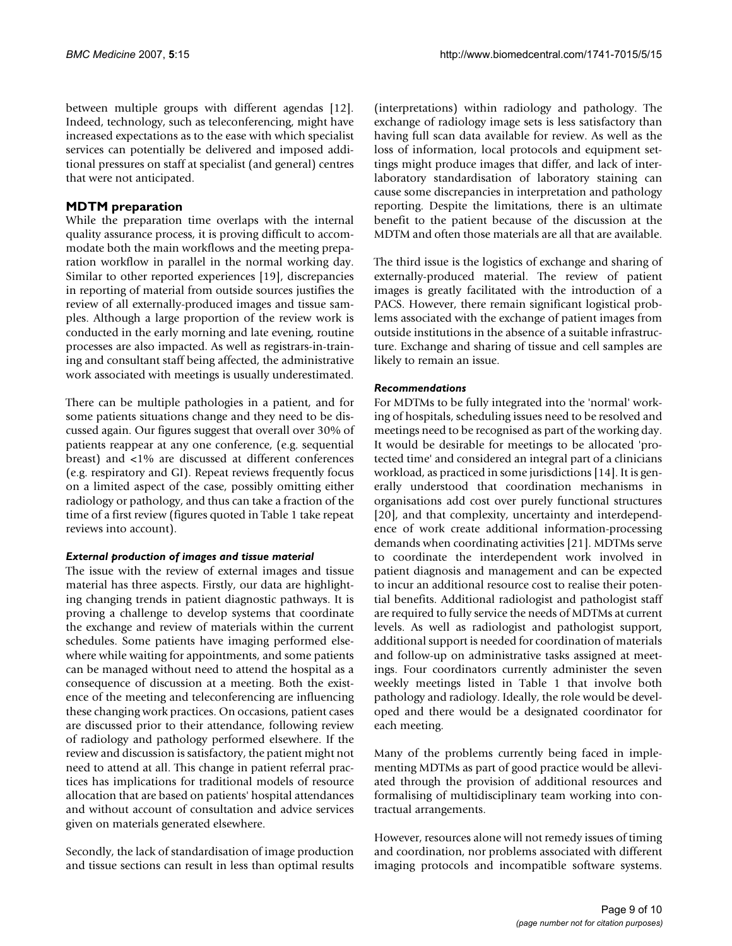between multiple groups with different agendas [12]. Indeed, technology, such as teleconferencing, might have increased expectations as to the ease with which specialist services can potentially be delivered and imposed additional pressures on staff at specialist (and general) centres that were not anticipated.

#### **MDTM preparation**

While the preparation time overlaps with the internal quality assurance process, it is proving difficult to accommodate both the main workflows and the meeting preparation workflow in parallel in the normal working day. Similar to other reported experiences [19], discrepancies in reporting of material from outside sources justifies the review of all externally-produced images and tissue samples. Although a large proportion of the review work is conducted in the early morning and late evening, routine processes are also impacted. As well as registrars-in-training and consultant staff being affected, the administrative work associated with meetings is usually underestimated.

There can be multiple pathologies in a patient, and for some patients situations change and they need to be discussed again. Our figures suggest that overall over 30% of patients reappear at any one conference, (e.g. sequential breast) and <1% are discussed at different conferences (e.g. respiratory and GI). Repeat reviews frequently focus on a limited aspect of the case, possibly omitting either radiology or pathology, and thus can take a fraction of the time of a first review (figures quoted in Table 1 take repeat reviews into account).

#### *External production of images and tissue material*

The issue with the review of external images and tissue material has three aspects. Firstly, our data are highlighting changing trends in patient diagnostic pathways. It is proving a challenge to develop systems that coordinate the exchange and review of materials within the current schedules. Some patients have imaging performed elsewhere while waiting for appointments, and some patients can be managed without need to attend the hospital as a consequence of discussion at a meeting. Both the existence of the meeting and teleconferencing are influencing these changing work practices. On occasions, patient cases are discussed prior to their attendance, following review of radiology and pathology performed elsewhere. If the review and discussion is satisfactory, the patient might not need to attend at all. This change in patient referral practices has implications for traditional models of resource allocation that are based on patients' hospital attendances and without account of consultation and advice services given on materials generated elsewhere.

Secondly, the lack of standardisation of image production and tissue sections can result in less than optimal results

(interpretations) within radiology and pathology. The exchange of radiology image sets is less satisfactory than having full scan data available for review. As well as the loss of information, local protocols and equipment settings might produce images that differ, and lack of interlaboratory standardisation of laboratory staining can cause some discrepancies in interpretation and pathology reporting. Despite the limitations, there is an ultimate benefit to the patient because of the discussion at the MDTM and often those materials are all that are available.

The third issue is the logistics of exchange and sharing of externally-produced material. The review of patient images is greatly facilitated with the introduction of a PACS. However, there remain significant logistical problems associated with the exchange of patient images from outside institutions in the absence of a suitable infrastructure. Exchange and sharing of tissue and cell samples are likely to remain an issue.

#### *Recommendations*

For MDTMs to be fully integrated into the 'normal' working of hospitals, scheduling issues need to be resolved and meetings need to be recognised as part of the working day. It would be desirable for meetings to be allocated 'protected time' and considered an integral part of a clinicians workload, as practiced in some jurisdictions [14]. It is generally understood that coordination mechanisms in organisations add cost over purely functional structures [20], and that complexity, uncertainty and interdependence of work create additional information-processing demands when coordinating activities [21]. MDTMs serve to coordinate the interdependent work involved in patient diagnosis and management and can be expected to incur an additional resource cost to realise their potential benefits. Additional radiologist and pathologist staff are required to fully service the needs of MDTMs at current levels. As well as radiologist and pathologist support, additional support is needed for coordination of materials and follow-up on administrative tasks assigned at meetings. Four coordinators currently administer the seven weekly meetings listed in Table 1 that involve both pathology and radiology. Ideally, the role would be developed and there would be a designated coordinator for each meeting.

Many of the problems currently being faced in implementing MDTMs as part of good practice would be alleviated through the provision of additional resources and formalising of multidisciplinary team working into contractual arrangements.

However, resources alone will not remedy issues of timing and coordination, nor problems associated with different imaging protocols and incompatible software systems.